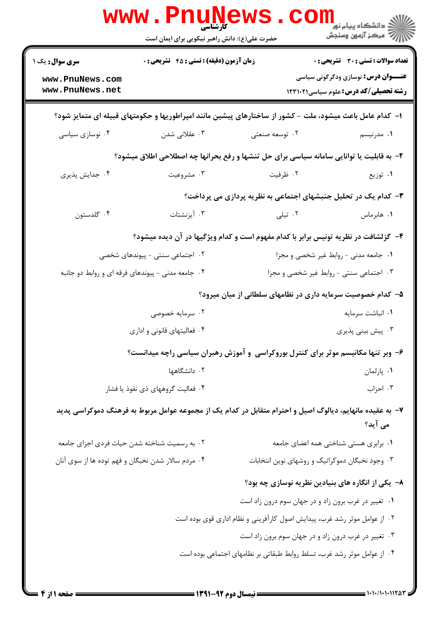|                                                    | <b>WWW.Pnunews</b><br>حضرت علی(ع): دانش راهبر نیکویی برای ایمان است |                                                                                                          | دانشگاه پيام نور<br>(دانشگاه پيام نور<br>√                                                 |
|----------------------------------------------------|---------------------------------------------------------------------|----------------------------------------------------------------------------------------------------------|--------------------------------------------------------------------------------------------|
| <b>سری سوال :</b> یک ۱<br>www.PnuNews.com          | <b>زمان آزمون (دقیقه) : تستی : 45 تشریحی : 0</b>                    |                                                                                                          | <b>تعداد سوالات : تستی : 30 ٪ تشریحی : 0</b><br><b>عنـــوان درس:</b> نوسازی ودگرگونی سیاسی |
| www.PnuNews.net                                    |                                                                     |                                                                                                          | <b>رشته تحصیلی/کد درس:</b> علوم سیاسی1۲۳۱۰۲۱                                               |
|                                                    |                                                                     | ا– کدام عامل باعث میشود، ملت – کشور از ساختارهای پیشین مانند امپراطوریها و حکومتهای قبیله ای متمایز شود؟ |                                                                                            |
| ۰۴ نوسازی سیاسی                                    | ۰۳ عقلانی شدن                                                       | ۰۲ توسعه صنعتی                                                                                           | ۰۱ مدرنیسم                                                                                 |
|                                                    |                                                                     | ۲- به قابلیت یا توانایی سامانه سیاسی برای حل تنشها و رفع بحرانها چه اصطلاحی اطلاق میشود؟                 |                                                                                            |
| ۰۴ جدایش پذیری                                     | ۰۳ مشروعیت                                                          | ۰۲ ظرفیت                                                                                                 | ۰۱ توزیع                                                                                   |
|                                                    |                                                                     | ۳- کدام یک در تحلیل جنبشهای اجتماعی به نظریه پردازی می پرداخت؟                                           |                                                                                            |
| ۰۴ گلدستون                                         | ۰۳ آیزنشتات                                                         | ۰۲ تیلی                                                                                                  | ٠١. هابرماس                                                                                |
|                                                    |                                                                     | ۴- گزلشافت در نظریه تونیس برابر با کدام مفهوم است و کدام ویژگیها در آن دیده میشود؟                       |                                                                                            |
|                                                    | ۰۲ اجتماعی سنتی - پیوندهای شخصی                                     | ٠١ جامعه مدنى - روابط غير شخصى و مجزا                                                                    |                                                                                            |
|                                                    | ۰۴ جامعه مدنی - پیوندهای فرقه ای و روابط دو جانبه                   | ۰۳ اجتماعی سنتی - روابط غیر شخصی و مجزا                                                                  |                                                                                            |
|                                                    |                                                                     | ۵– کدام خصوصیت سرمایه داری در نظامهای سلطانی از میان میرود؟                                              |                                                                                            |
|                                                    | ۰۲ سرمایه خصوصی                                                     |                                                                                                          | ٠١ انباشت سرمايه                                                                           |
| ۰۴ فعالیتهای قانونی و اداری                        |                                                                     | ۰۳ پیش بینی پذیری                                                                                        |                                                                                            |
|                                                    |                                                                     | ۶- وبر تنها مکانیسم موثر برای کنترل بوروکراسی و آموزش رهبران سیاسی راچه میدانست؟                         |                                                                                            |
| ۰۲ دانشگاهها                                       |                                                                     | ۰۱ پارلمان                                                                                               |                                                                                            |
| ۰۴ فعالیت گروههای ذی نفوذ یا فشار                  |                                                                     |                                                                                                          | ۰۳ احزاب                                                                                   |
|                                                    |                                                                     | ۷– به عقیده مانهایم، دیالوگ اصیل و احترام متقابل در کدام یک از مجموعه عوامل مربوط به فرهنگ دموکراسی پدید | می آید؟                                                                                    |
| ۰۲ به رسمیت شناخته شدن حیات فردی اجزای جامعه       |                                                                     |                                                                                                          | ۰۱ برابری هستی شناختی همه اعضای جامعه                                                      |
| ۰۴ مردم سالار شدن نخبگان و فهم توده ها از سوی آنان |                                                                     | ۰۳ وجود نخبگان دموکراتیک و روشهای نوین انتخابات                                                          |                                                                                            |
|                                                    |                                                                     | ۸– یکی از انگاره های بنیادین نظریه نوسازی چه بود؟                                                        |                                                                                            |
|                                                    |                                                                     | ۰۱ تغییر در غرب برون زاد و در جهان سوم درون زاد است                                                      |                                                                                            |
|                                                    |                                                                     | ۰۲ از عوامل موثر رشد غرب، پیدایش اصول کارآفرینی و نظام اداری قوی بوده است                                |                                                                                            |
|                                                    |                                                                     | ۰۳ تغییر در غرب درون زاد و در جهان سوم برون زاد است                                                      |                                                                                            |
|                                                    |                                                                     | ۰۴ از عوامل موثر رشد غرب، تسلط روابط طبقاتی بر نظامهای اجتماعی بوده است                                  |                                                                                            |
|                                                    |                                                                     |                                                                                                          |                                                                                            |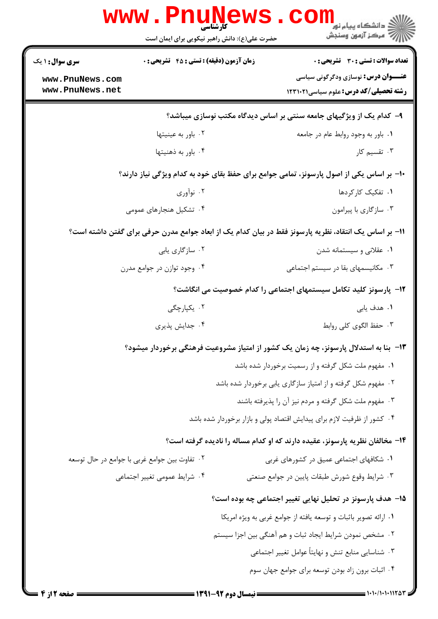| <b>سری سوال : ۱ یک</b>                        | <b>زمان آزمون (دقیقه) : تستی : 45 گشریحی: 0</b> | تعداد سوالات : تستى : 30 - تشريحي : 0                                                                  |
|-----------------------------------------------|-------------------------------------------------|--------------------------------------------------------------------------------------------------------|
| www.PnuNews.com<br>www.PnuNews.net            |                                                 | <b>عنـــوان درس:</b> نوسازی ودگرگونی سیاسی<br><b>رشته تحصیلی/کد درس:</b> علوم سیاسی123111              |
|                                               |                                                 | ۹- کدام یک از ویژگیهای جامعه سنتی بر اساس دیدگاه مکتب نوسازی میباشد؟                                   |
|                                               | ٠٢ باور به عينيتها                              | ۰۱ باور به وجود روابط عام در جامعه                                                                     |
|                                               | ۰۴ باور به ذهنيتها                              | ۰۳ تقسیم کار                                                                                           |
|                                               |                                                 | ∙۱- بر اساس یکی از اصول پارسونز، تمامی جوامع برای حفظ بقای خود به کدام ویژگی نیاز دارند؟               |
|                                               | ۰۲ نوآوري                                       | ٠١. تفكيك كاركردها                                                                                     |
|                                               | ۰۴ تشکیل هنجارهای عمومی                         | ۰۳ سازگاري با پيرامون                                                                                  |
|                                               |                                                 | 11– بر اساس یک انتقاد، نظریه پارسونز فقط در بیان کدام یک از ابعاد جوامع مدرن حرفی برای گفتن داشته است؟ |
|                                               | ۰۲ سازگاری پابی                                 | ۰۱ عقلانی و سیستمانه شدن                                                                               |
|                                               | ۰۴ وجود توازن در جوامع مدرن                     | ۰۳ مکانیسمهای بقا در سیستم اجتماعی                                                                     |
|                                               |                                                 | ۱۲- پارسونز کلید تکامل سیستمهای اجتماعی را کدام خصوصیت می انگاشت؟                                      |
|                                               | ۰۲ یکیا <sub>ر</sub> چگی                        | ۰۱ هدف یاب <i>ی</i>                                                                                    |
|                                               | ۰۴ جدایش پذیری                                  | ۰۳ حفظ الگوی کلی روابط                                                                                 |
|                                               |                                                 | ۱۳– بنا به استدلال پارسونز، چه زمان یک کشور از امتیاز مشروعیت فرهنگی برخوردار میشود؟                   |
|                                               |                                                 | ۰۱ مفهوم ملت شکل گرفته و از رسمیت برخوردار شده باشد                                                    |
|                                               |                                                 | ۰۲ مفهوم شکل گرفته و از امتیاز سازگاری یابی برخوردار شده باشد                                          |
|                                               |                                                 | ۰۳ مفهوم ملت شکل گرفته و مردم نیز آن را پذیرفته باشند                                                  |
|                                               |                                                 | ۰۴ کشور از ظرفیت لازم برای پیدایش اقتصاد پولی و بازار برخوردار شده باشد                                |
|                                               |                                                 | ۱۴- مخالفان نظریه پارسونز، عقیده دارند که او کدام مساله را نادیده گرفته است؟                           |
| ۰۲ تفاوت بین جوامع غربی با جوامع در حال توسعه |                                                 | ۰۱ شکافهای اجتماعی عمیق در کشورهای غربی                                                                |
| ۰۴ شرایط عمومی تغییر اجتماعی                  |                                                 | ۰۳ شرایط وقوع شورش طبقات پایین در جوامع صنعتی                                                          |
|                                               |                                                 | 1۵– هدف پارسونز در تحلیل نهایی تغییر اجتماعی چه بوده است؟                                              |
|                                               |                                                 | ١. ارائه تصوير باثبات و توسعه يافته از جوامع غربي به ويژه امريكا                                       |
|                                               |                                                 | ۰۲ مشخص نمودن شرایط ایجاد ثبات و هم آهنگی بین اجزا سیستم                                               |
|                                               |                                                 | ۰۳ شناسایی منابع تنش و نهایتاً عوامل تغییر اجتماعی                                                     |
|                                               |                                                 | ۰۴ اثبات برون زاد بودن توسعه برای جوامع جهان سوم                                                       |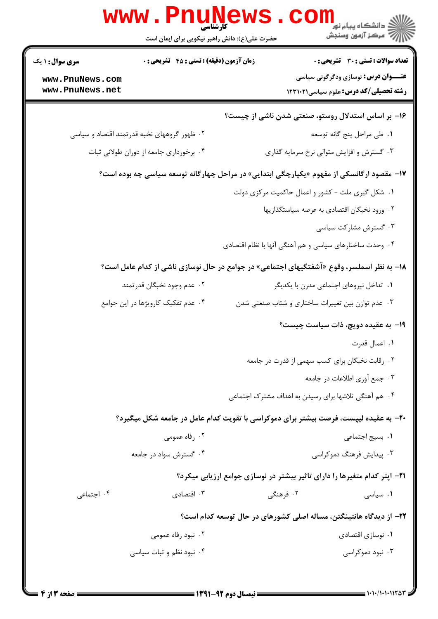|                                             | <b>www</b> .<br>کارشناسی<br>حضرت علی(ع): دانش راهبر نیکویی برای ایمان است                 |                                                                           | ≦ دانشڪاه پيام نور<br>7- مرڪز آزمون وسنڊش                                                 |  |
|---------------------------------------------|-------------------------------------------------------------------------------------------|---------------------------------------------------------------------------|-------------------------------------------------------------------------------------------|--|
| <b>سری سوال :</b> ۱ یک                      | <b>زمان آزمون (دقیقه) : تستی : 45 گشریحی : 0</b>                                          |                                                                           | <b>تعداد سوالات : تستی : 30 ٪ تشریحی : 0</b>                                              |  |
| www.PnuNews.com<br>www.PnuNews.net          |                                                                                           |                                                                           | <b>عنـــوان درس:</b> نوسازی ودگرگونی سیاسی<br><b>رشته تحصیلی/کد درس:</b> علوم سیاسی123111 |  |
|                                             |                                                                                           | ۱۶- بر اساس استدلال روستو، صنعتی شدن ناشی از چیست؟                        |                                                                                           |  |
| ۰۲ ظهور گروههای نخبه قدرتمند اقتصاد و سیاسی |                                                                                           |                                                                           | ٠١. طي مراحل پنج گانه توسعه                                                               |  |
|                                             | ۰۴ برخورداری جامعه از دوران طولانی ثبات                                                   |                                                                           | ۰۳ گسترش و افزایش متوالی نرخ سرمایه گذاری                                                 |  |
|                                             | ۱۷- مقصود ارگانسکی از مفهوم «یکپارچگی ابتدایی» در مراحل چهارگانه توسعه سیاسی چه بوده است؟ |                                                                           |                                                                                           |  |
|                                             |                                                                                           | ۰۱ شکل گیری ملت - کشور و اعمال حاکمیت مرکزی دولت                          |                                                                                           |  |
|                                             |                                                                                           |                                                                           | ٢. ورود نخبگان اقتصادي به عرصه سياستگذاريها                                               |  |
|                                             |                                                                                           |                                                                           | ۰۳ گسترش مشارکت سیاسی                                                                     |  |
|                                             |                                                                                           | ۰۴ وحدت ساختارهای سیاسی و هم آهنگی آنها با نظام اقتصادی                   |                                                                                           |  |
|                                             | ۱۸- به نظر اسملسر، وقوع «آشفتگیهای اجتماعی» در جوامع در حال نوسازی ناشی از کدام عامل است؟ |                                                                           |                                                                                           |  |
| ۰۲ عدم وجود نخبگان قدرتمند                  |                                                                                           |                                                                           | ۰۱ تداخل نیروهای اجتماعی مدرن با یکدیگر                                                   |  |
|                                             | ۰۴ عدم تفکیک کارویژها در این جوامع                                                        | ۰۳ عدم توازن بین تغییرات ساختاری و شتاب صنعتی شدن                         |                                                                                           |  |
|                                             |                                                                                           |                                                                           | <b>۱۹</b> - به عقیده دویچ، ذات سیاست چیست؟                                                |  |
|                                             |                                                                                           |                                                                           | ٠١. اعمال قدرت                                                                            |  |
|                                             |                                                                                           | ۰۲ رقابت نخبگان برای کسب سهمی از قدرت در جامعه                            |                                                                                           |  |
|                                             |                                                                                           |                                                                           | ۰۳ جمع آوری اطلاعات در جامعه                                                              |  |
|                                             |                                                                                           | ۰۴ هم آهنگی تلاشها برای رسیدن به اهداف مشترک اجتماعی                      |                                                                                           |  |
|                                             | +۲- به عقیده لیپست، فرصت بیشتر برای دموکراسی با تقویت کدام عامل در جامعه شکل میگیرد؟      |                                                                           |                                                                                           |  |
|                                             | ۰۲ رفاه عمومی                                                                             |                                                                           | ٠١. بسيج اجتماعي                                                                          |  |
|                                             | ۰۴ گسترش سواد در جامعه                                                                    |                                                                           | ۰۳ پیدایش فرهنگ دموکراسی                                                                  |  |
|                                             |                                                                                           | ۲۱- اپتر کدام متغیرها را دارای تاثیر بیشتر در نوسازی جوامع ارزیابی میکرد؟ |                                                                                           |  |
| ۰۴ اجتماعی                                  | ۰۳ اقتصادی                                                                                | ۰۲ فرهنگی                                                                 | ۰۱ سیاسی                                                                                  |  |
|                                             |                                                                                           | ۲۲– از دیدگاه هانتینگتن، مساله اصلی کشورهای در حال توسعه کدام است؟        |                                                                                           |  |
|                                             | ۰۲ نبود رفاه عمومی                                                                        |                                                                           | ٠١ نوسازي اقتصادي                                                                         |  |
|                                             | ۰۴ نبود نظم و ثبات سیاسی                                                                  |                                                                           | ۰۳ نبود دموکراسی                                                                          |  |
|                                             |                                                                                           |                                                                           |                                                                                           |  |

**DMIINOWA** 

 $\overline{ }$ 

**TM** 

Parties and

**The Second**